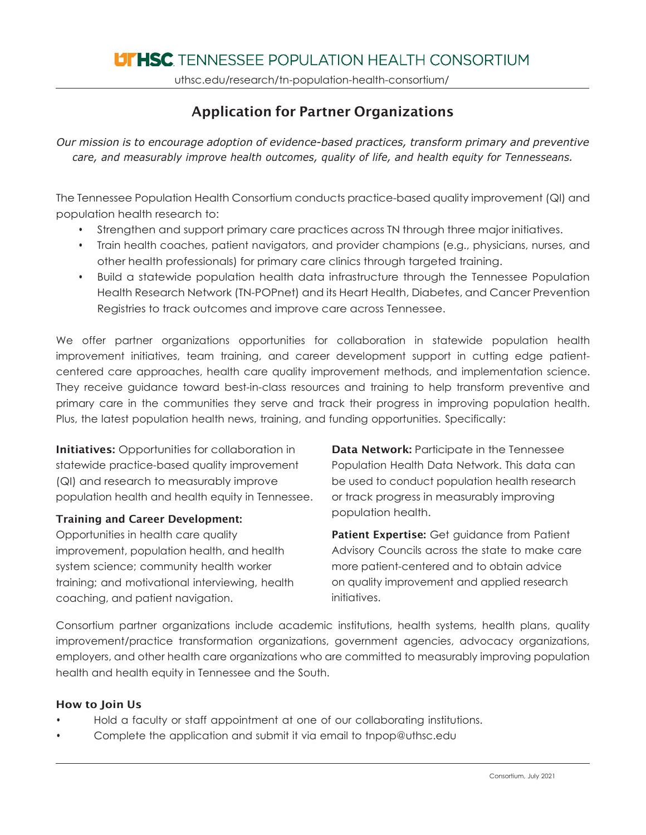uthsc.edu/research/tn-population-health-consortium/

# Application for Partner Organizations

*Our mission is to encourage adoption of evidence-based practices, transform primary and preventive care, and measurably improve health outcomes, quality of life, and health equity for Tennesseans.*

The Tennessee Population Health Consortium conducts practice-based quality improvement (QI) and population health research to:

- Strengthen and support primary care practices across TN through three major initiatives.
- Train health coaches, patient navigators, and provider champions (e.g., physicians, nurses, and other health professionals) for primary care clinics through targeted training.
- Build a statewide population health data infrastructure through the Tennessee Population Health Research Network (TN-POPnet) and its Heart Health, Diabetes, and Cancer Prevention Registries to track outcomes and improve care across Tennessee.

We offer partner organizations opportunities for collaboration in statewide population health improvement initiatives, team training, and career development support in cutting edge patientcentered care approaches, health care quality improvement methods, and implementation science. They receive guidance toward best-in-class resources and training to help transform preventive and primary care in the communities they serve and track their progress in improving population health. Plus, the latest population health news, training, and funding opportunities. Specifically:

**Initiatives:** Opportunities for collaboration in statewide practice-based quality improvement (QI) and research to measurably improve population health and health equity in Tennessee.

## Training and Career Development:

Opportunities in health care quality improvement, population health, and health system science; community health worker training; and motivational interviewing, health coaching, and patient navigation.

Data Network: Participate in the Tennessee Population Health Data Network. This data can be used to conduct population health research or track progress in measurably improving population health.

Patient Expertise: Get quidance from Patient Advisory Councils across the state to make care more patient-centered and to obtain advice on quality improvement and applied research initiatives.

Consortium partner organizations include academic institutions, health systems, health plans, quality improvement/practice transformation organizations, government agencies, advocacy organizations, employers, and other health care organizations who are committed to measurably improving population health and health equity in Tennessee and the South.

## How to Join Us

- Hold a faculty or staff appointment at one of our collaborating institutions.
- Complete the application and submit it via email to [tnpop@uthsc.edu](mailto:tnpop@uthsc.edu)